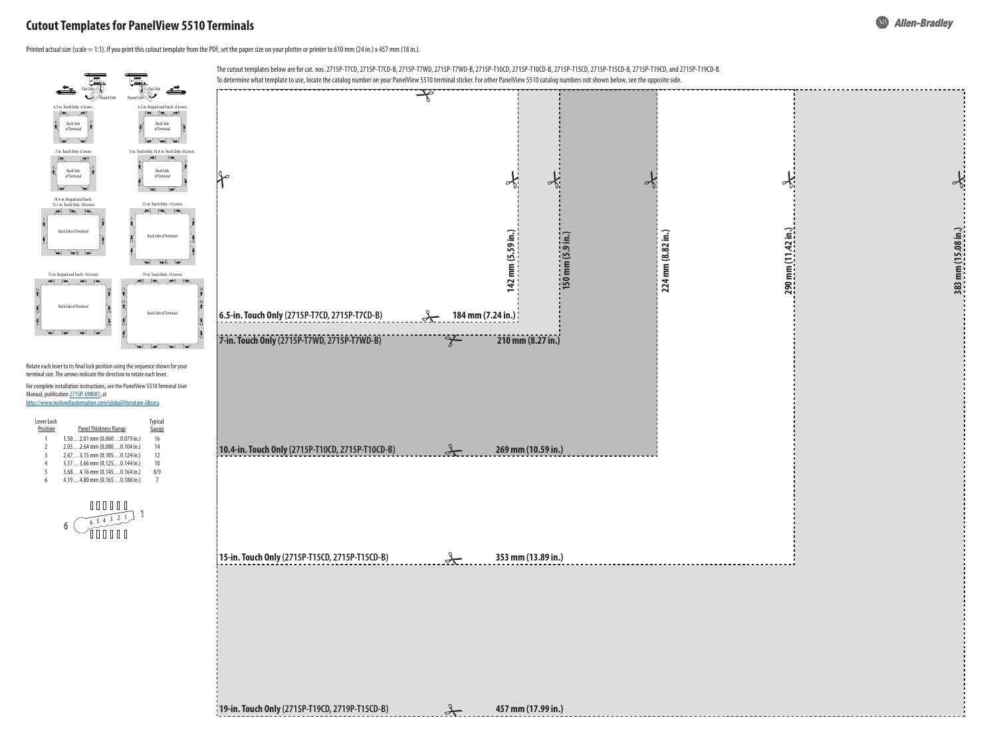



| Lever Lock<br>Position | Panel Thickness Range            | <b>Typical</b><br>Gauge |
|------------------------|----------------------------------|-------------------------|
| 1                      | $1.502.01$ mm $(0.0600.079$ in.) | 16                      |
| $\mathfrak z$          | $2.032.64$ mm $(0.0800.104$ in.) | 14                      |
| 3                      | $2.673.15$ mm $(0.1050.124$ in.) | 12                      |
| 4                      | $3.173.66$ mm $(0.1250.144$ in.) | 10                      |
| 5                      | $3.684.16$ mm $(0.1450.164$ in.) | 8/9                     |
| 6                      | $4.194.80$ mm $(0.1650.188$ in.) | 7                       |
|                        |                                  |                         |



Rotate each lever to its final lock position using the sequence shown for your terminal size. The arrows indicate the direction to rotate each lever.

For complete installation instructions, see the PanelView 5510 Terminal User Manual, publication [2715P-UM001,](http://literature.rockwellautomation.com/idc/groups/literature/documents/um/2715p-um001_-en-p.pdf) at

[http://www.rockwellautomation.com/global/literature-library.](https://www.rockwellautomation.com/global/literature-library/overview.page)

## **Cutout Templates for PanelView 5510 Terminals**

Printed actual size (scale = 1:1). If you print this cutout template from the PDF, set the paper size on your plotter or printer to 610 mm (24 in.) x 457 mm (18 in.).

The cutout templates below are for cat. nos. 2715P-T7CD, 2715P-T7CD-B, 2715P-T7WD, 2715P-T7WD-B, 2715P-T10CD, 2715P-T10CD-B, 2715P-T15CD, 2715P-T15CD-B, 2715P-T19CD, and 2715P-T19CD-B.